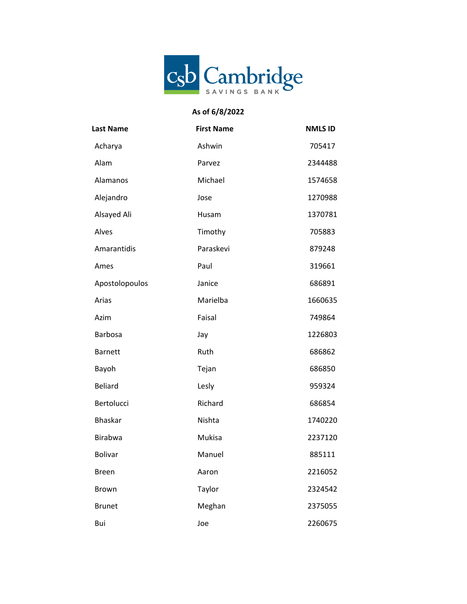

## **As of 6/8/2022**

| <b>Last Name</b> | <b>First Name</b> | <b>NMLS ID</b> |
|------------------|-------------------|----------------|
| Acharya          | Ashwin            | 705417         |
| Alam             | Parvez            | 2344488        |
| Alamanos         | Michael           | 1574658        |
| Alejandro        | Jose              | 1270988        |
| Alsayed Ali      | Husam             | 1370781        |
| Alves            | Timothy           | 705883         |
| Amarantidis      | Paraskevi         | 879248         |
| Ames             | Paul              | 319661         |
| Apostolopoulos   | Janice            | 686891         |
| Arias            | Marielba          | 1660635        |
| Azim             | Faisal            | 749864         |
| <b>Barbosa</b>   | Jay               | 1226803        |
| <b>Barnett</b>   | Ruth              | 686862         |
| Bayoh            | Tejan             | 686850         |
| <b>Beliard</b>   | Lesly             | 959324         |
| Bertolucci       | Richard           | 686854         |
| <b>Bhaskar</b>   | Nishta            | 1740220        |
| Birabwa          | Mukisa            | 2237120        |
| <b>Bolivar</b>   | Manuel            | 885111         |
| <b>Breen</b>     | Aaron             | 2216052        |
| Brown            | Taylor            | 2324542        |
| <b>Brunet</b>    | Meghan            | 2375055        |
| Bui              | Joe               | 2260675        |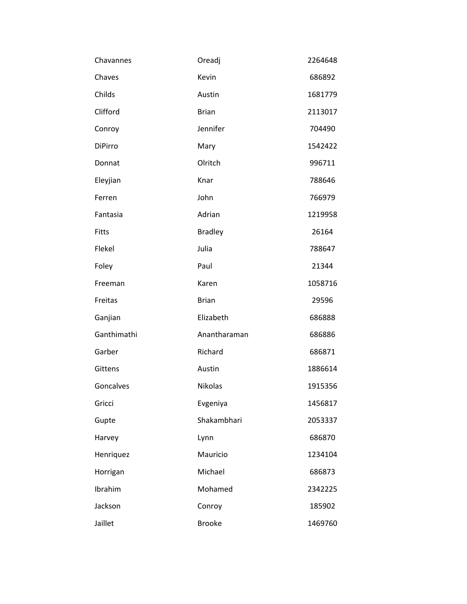| Chavannes    | Oreadj         | 2264648 |
|--------------|----------------|---------|
| Chaves       | Kevin          | 686892  |
| Childs       | Austin         | 1681779 |
| Clifford     | <b>Brian</b>   | 2113017 |
| Conroy       | Jennifer       | 704490  |
| DiPirro      | Mary           | 1542422 |
| Donnat       | Olritch        | 996711  |
| Eleyjian     | Knar           | 788646  |
| Ferren       | John           | 766979  |
| Fantasia     | Adrian         | 1219958 |
| <b>Fitts</b> | <b>Bradley</b> | 26164   |
| Flekel       | Julia          | 788647  |
| Foley        | Paul           | 21344   |
| Freeman      | Karen          | 1058716 |
| Freitas      | <b>Brian</b>   | 29596   |
| Ganjian      | Elizabeth      | 686888  |
| Ganthimathi  | Anantharaman   | 686886  |
| Garber       | Richard        | 686871  |
| Gittens      | Austin         | 1886614 |
| Goncalves    | Nikolas        | 1915356 |
| Gricci       | Evgeniya       | 1456817 |
| Gupte        | Shakambhari    | 2053337 |
| Harvey       | Lynn           | 686870  |
| Henriquez    | Mauricio       | 1234104 |
| Horrigan     | Michael        | 686873  |
| Ibrahim      | Mohamed        | 2342225 |
| Jackson      | Conroy         | 185902  |
| Jaillet      | <b>Brooke</b>  | 1469760 |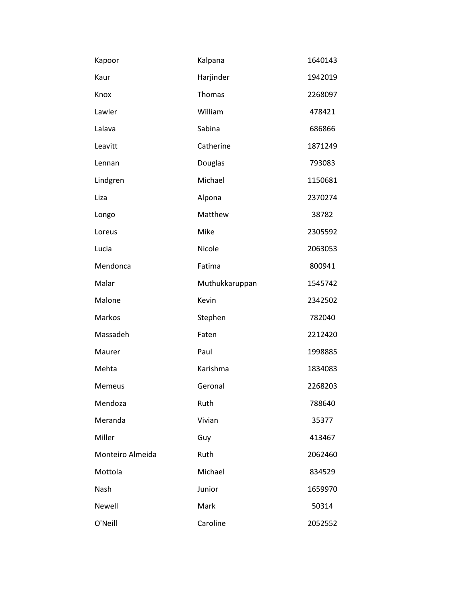| Kapoor           | Kalpana        | 1640143 |
|------------------|----------------|---------|
| Kaur             | Harjinder      | 1942019 |
| Knox             | Thomas         | 2268097 |
| Lawler           | William        | 478421  |
| Lalava           | Sabina         | 686866  |
| Leavitt          | Catherine      | 1871249 |
| Lennan           | Douglas        | 793083  |
| Lindgren         | Michael        | 1150681 |
| Liza             | Alpona         | 2370274 |
| Longo            | Matthew        | 38782   |
| Loreus           | Mike           | 2305592 |
| Lucia            | Nicole         | 2063053 |
| Mendonca         | Fatima         | 800941  |
| Malar            | Muthukkaruppan | 1545742 |
| Malone           | Kevin          | 2342502 |
| Markos           | Stephen        | 782040  |
| Massadeh         | Faten          | 2212420 |
| Maurer           | Paul           | 1998885 |
| Mehta            | Karishma       | 1834083 |
| <b>Memeus</b>    | Geronal        | 2268203 |
| Mendoza          | Ruth           | 788640  |
| Meranda          | Vivian         | 35377   |
| Miller           | Guy            | 413467  |
| Monteiro Almeida | Ruth           | 2062460 |
| Mottola          | Michael        | 834529  |
| Nash             | Junior         | 1659970 |
| Newell           | Mark           | 50314   |
| O'Neill          | Caroline       | 2052552 |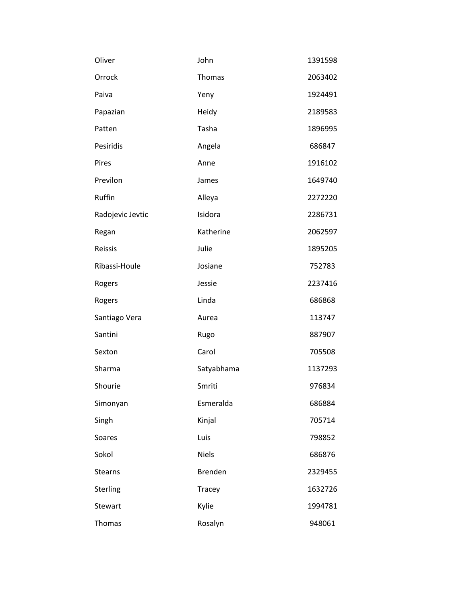| Oliver           | John           | 1391598 |
|------------------|----------------|---------|
| Orrock           | Thomas         | 2063402 |
| Paiva            | Yeny           | 1924491 |
| Papazian         | Heidy          | 2189583 |
| Patten           | Tasha          | 1896995 |
| Pesiridis        | Angela         | 686847  |
| Pires            | Anne           | 1916102 |
| Previlon         | James          | 1649740 |
| Ruffin           | Alleya         | 2272220 |
| Radojevic Jevtic | Isidora        | 2286731 |
| Regan            | Katherine      | 2062597 |
| Reissis          | Julie          | 1895205 |
| Ribassi-Houle    | Josiane        | 752783  |
| Rogers           | Jessie         | 2237416 |
| Rogers           | Linda          | 686868  |
| Santiago Vera    | Aurea          | 113747  |
| Santini          | Rugo           | 887907  |
| Sexton           | Carol          | 705508  |
| Sharma           | Satyabhama     | 1137293 |
| Shourie          | Smriti         | 976834  |
| Simonyan         | Esmeralda      | 686884  |
| Singh            | Kinjal         | 705714  |
| Soares           | Luis           | 798852  |
| Sokol            | <b>Niels</b>   | 686876  |
| <b>Stearns</b>   | <b>Brenden</b> | 2329455 |
| Sterling         | Tracey         | 1632726 |
| Stewart          | Kylie          | 1994781 |
| Thomas           | Rosalyn        | 948061  |